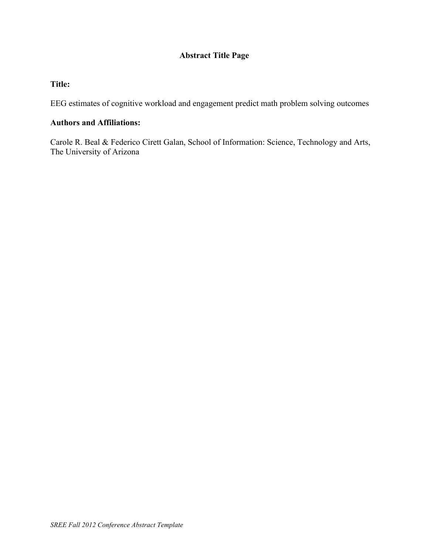# **Abstract Title Page**

# **Title:**

EEG estimates of cognitive workload and engagement predict math problem solving outcomes

## **Authors and Affiliations:**

Carole R. Beal & Federico Cirett Galan, School of Information: Science, Technology and Arts, The University of Arizona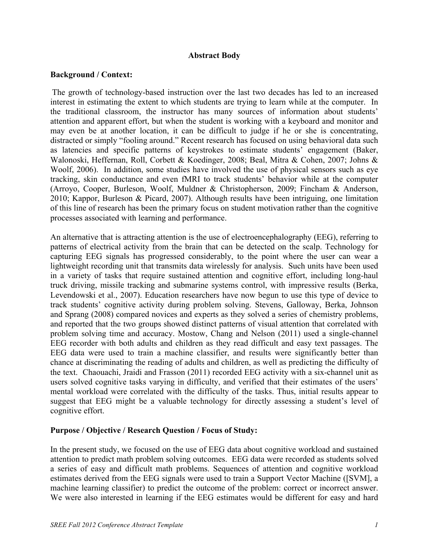#### **Abstract Body**

#### **Background / Context:**

The growth of technology-based instruction over the last two decades has led to an increased interest in estimating the extent to which students are trying to learn while at the computer. In the traditional classroom, the instructor has many sources of information about students' attention and apparent effort, but when the student is working with a keyboard and monitor and may even be at another location, it can be difficult to judge if he or she is concentrating, distracted or simply "fooling around." Recent research has focused on using behavioral data such as latencies and specific patterns of keystrokes to estimate students' engagement (Baker, Walonoski, Heffernan, Roll, Corbett & Koedinger, 2008; Beal, Mitra & Cohen, 2007; Johns & Woolf, 2006). In addition, some studies have involved the use of physical sensors such as eye tracking, skin conductance and even fMRI to track students' behavior while at the computer (Arroyo, Cooper, Burleson, Woolf, Muldner & Christopherson, 2009; Fincham & Anderson, 2010; Kappor, Burleson & Picard, 2007). Although results have been intriguing, one limitation of this line of research has been the primary focus on student motivation rather than the cognitive processes associated with learning and performance.

An alternative that is attracting attention is the use of electroencephalography (EEG), referring to patterns of electrical activity from the brain that can be detected on the scalp. Technology for capturing EEG signals has progressed considerably, to the point where the user can wear a lightweight recording unit that transmits data wirelessly for analysis. Such units have been used in a variety of tasks that require sustained attention and cognitive effort, including long-haul truck driving, missile tracking and submarine systems control, with impressive results (Berka, Levendowski et al., 2007). Education researchers have now begun to use this type of device to track students' cognitive activity during problem solving. Stevens, Galloway, Berka, Johnson and Sprang (2008) compared novices and experts as they solved a series of chemistry problems, and reported that the two groups showed distinct patterns of visual attention that correlated with problem solving time and accuracy. Mostow, Chang and Nelson (2011) used a single-channel EEG recorder with both adults and children as they read difficult and easy text passages. The EEG data were used to train a machine classifier, and results were significantly better than chance at discriminating the reading of adults and children, as well as predicting the difficulty of the text. Chaouachi, Jraidi and Frasson (2011) recorded EEG activity with a six-channel unit as users solved cognitive tasks varying in difficulty, and verified that their estimates of the users' mental workload were correlated with the difficulty of the tasks. Thus, initial results appear to suggest that EEG might be a valuable technology for directly assessing a student's level of cognitive effort.

#### **Purpose / Objective / Research Question / Focus of Study:**

In the present study, we focused on the use of EEG data about cognitive workload and sustained attention to predict math problem solving outcomes. EEG data were recorded as students solved a series of easy and difficult math problems. Sequences of attention and cognitive workload estimates derived from the EEG signals were used to train a Support Vector Machine ([SVM], a machine learning classifier) to predict the outcome of the problem: correct or incorrect answer. We were also interested in learning if the EEG estimates would be different for easy and hard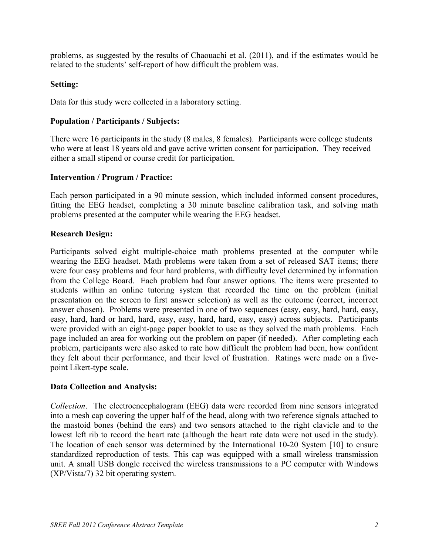problems, as suggested by the results of Chaouachi et al. (2011), and if the estimates would be related to the students' self-report of how difficult the problem was.

# **Setting:**

Data for this study were collected in a laboratory setting.

# **Population / Participants / Subjects:**

There were 16 participants in the study (8 males, 8 females). Participants were college students who were at least 18 years old and gave active written consent for participation. They received either a small stipend or course credit for participation.

## **Intervention / Program / Practice:**

Each person participated in a 90 minute session, which included informed consent procedures, fitting the EEG headset, completing a 30 minute baseline calibration task, and solving math problems presented at the computer while wearing the EEG headset.

## **Research Design:**

Participants solved eight multiple-choice math problems presented at the computer while wearing the EEG headset. Math problems were taken from a set of released SAT items; there were four easy problems and four hard problems, with difficulty level determined by information from the College Board. Each problem had four answer options. The items were presented to students within an online tutoring system that recorded the time on the problem (initial presentation on the screen to first answer selection) as well as the outcome (correct, incorrect answer chosen). Problems were presented in one of two sequences (easy, easy, hard, hard, easy, easy, hard, hard or hard, hard, easy, easy, hard, hard, easy, easy) across subjects. Participants were provided with an eight-page paper booklet to use as they solved the math problems. Each page included an area for working out the problem on paper (if needed). After completing each problem, participants were also asked to rate how difficult the problem had been, how confident they felt about their performance, and their level of frustration. Ratings were made on a fivepoint Likert-type scale.

#### **Data Collection and Analysis:**

*Collection*. The electroencephalogram (EEG) data were recorded from nine sensors integrated into a mesh cap covering the upper half of the head, along with two reference signals attached to the mastoid bones (behind the ears) and two sensors attached to the right clavicle and to the lowest left rib to record the heart rate (although the heart rate data were not used in the study). The location of each sensor was determined by the International 10-20 System [10] to ensure standardized reproduction of tests. This cap was equipped with a small wireless transmission unit. A small USB dongle received the wireless transmissions to a PC computer with Windows (XP/Vista/7) 32 bit operating system.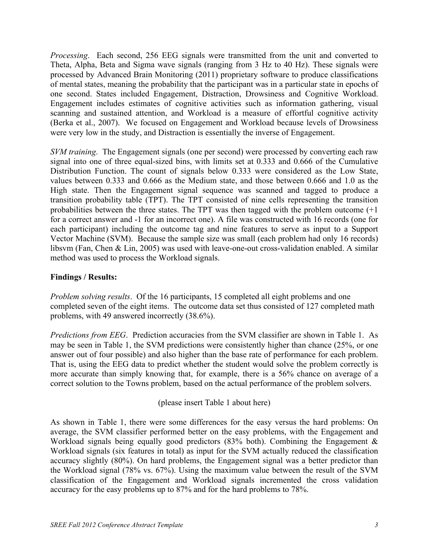*Processing*. Each second, 256 EEG signals were transmitted from the unit and converted to Theta, Alpha, Beta and Sigma wave signals (ranging from 3 Hz to 40 Hz). These signals were processed by Advanced Brain Monitoring (2011) proprietary software to produce classifications of mental states, meaning the probability that the participant was in a particular state in epochs of one second. States included Engagement, Distraction, Drowsiness and Cognitive Workload. Engagement includes estimates of cognitive activities such as information gathering, visual scanning and sustained attention, and Workload is a measure of effortful cognitive activity (Berka et al., 2007). We focused on Engagement and Workload because levels of Drowsiness were very low in the study, and Distraction is essentially the inverse of Engagement.

*SVM training*. The Engagement signals (one per second) were processed by converting each raw signal into one of three equal-sized bins, with limits set at 0.333 and 0.666 of the Cumulative Distribution Function. The count of signals below 0.333 were considered as the Low State, values between 0.333 and 0.666 as the Medium state, and those between 0.666 and 1.0 as the High state. Then the Engagement signal sequence was scanned and tagged to produce a transition probability table (TPT). The TPT consisted of nine cells representing the transition probabilities between the three states. The TPT was then tagged with the problem outcome (+1 for a correct answer and -1 for an incorrect one). A file was constructed with 16 records (one for each participant) including the outcome tag and nine features to serve as input to a Support Vector Machine (SVM). Because the sample size was small (each problem had only 16 records) libsvm (Fan, Chen & Lin, 2005) was used with leave-one-out cross-validation enabled. A similar method was used to process the Workload signals.

# **Findings / Results:**

*Problem solving results*. Of the 16 participants, 15 completed all eight problems and one completed seven of the eight items. The outcome data set thus consisted of 127 completed math problems, with 49 answered incorrectly (38.6%).

*Predictions from EEG*. Prediction accuracies from the SVM classifier are shown in Table 1. As may be seen in Table 1, the SVM predictions were consistently higher than chance (25%, or one answer out of four possible) and also higher than the base rate of performance for each problem. That is, using the EEG data to predict whether the student would solve the problem correctly is more accurate than simply knowing that, for example, there is a 56% chance on average of a correct solution to the Towns problem, based on the actual performance of the problem solvers.

(please insert Table 1 about here)

As shown in Table 1, there were some differences for the easy versus the hard problems: On average, the SVM classifier performed better on the easy problems, with the Engagement and Workload signals being equally good predictors (83% both). Combining the Engagement & Workload signals (six features in total) as input for the SVM actually reduced the classification accuracy slightly (80%). On hard problems, the Engagement signal was a better predictor than the Workload signal (78% vs. 67%). Using the maximum value between the result of the SVM classification of the Engagement and Workload signals incremented the cross validation accuracy for the easy problems up to 87% and for the hard problems to 78%.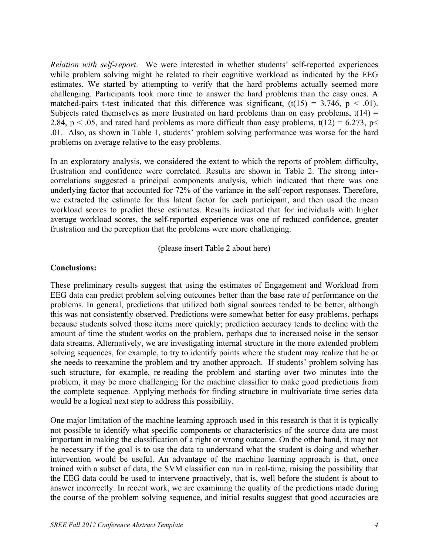*Relation with self-report*. We were interested in whether students' self-reported experiences while problem solving might be related to their cognitive workload as indicated by the EEG estimates. We started by attempting to verify that the hard problems actually seemed more challenging. Participants took more time to answer the hard problems than the easy ones. A matched-pairs t-test indicated that this difference was significant,  $(t(15) = 3.746, p < .01)$ . Subjects rated themselves as more frustrated on hard problems than on easy problems,  $t(14) =$ 2.84, p < .05, and rated hard problems as more difficult than easy problems,  $t(12) = 6.273$ , p< .01. Also, as shown in Table 1, students' problem solving performance was worse for the hard problems on average relative to the easy problems.

In an exploratory analysis, we considered the extent to which the reports of problem difficulty, frustration and confidence were correlated. Results are shown in Table 2. The strong intercorrelations suggested a principal components analysis, which indicated that there was one underlying factor that accounted for 72% of the variance in the self-report responses. Therefore, we extracted the estimate for this latent factor for each participant, and then used the mean workload scores to predict these estimates. Results indicated that for individuals with higher average workload scores, the self-reported experience was one of reduced confidence, greater frustration and the perception that the problems were more challenging.

(please insert Table 2 about here)

## **Conclusions:**

These preliminary results suggest that using the estimates of Engagement and Workload from EEG data can predict problem solving outcomes better than the base rate of performance on the problems. In general, predictions that utilized both signal sources tended to be better, although this was not consistently observed. Predictions were somewhat better for easy problems, perhaps because students solved those items more quickly; prediction accuracy tends to decline with the amount of time the student works on the problem, perhaps due to increased noise in the sensor data streams. Alternatively, we are investigating internal structure in the more extended problem solving sequences, for example, to try to identify points where the student may realize that he or she needs to reexamine the problem and try another approach. If students' problem solving has such structure, for example, re-reading the problem and starting over two minutes into the problem, it may be more challenging for the machine classifier to make good predictions from the complete sequence. Applying methods for finding structure in multivariate time series data would be a logical next step to address this possibility.

One major limitation of the machine learning approach used in this research is that it is typically not possible to identify what specific components or characteristics of the source data are most important in making the classification of a right or wrong outcome. On the other hand, it may not be necessary if the goal is to use the data to understand what the student is doing and whether intervention would be useful. An advantage of the machine learning approach is that, once trained with a subset of data, the SVM classifier can run in real-time, raising the possibility that the EEG data could be used to intervene proactively, that is, well before the student is about to answer incorrectly. In recent work, we are examining the quality of the predictions made during the course of the problem solving sequence, and initial results suggest that good accuracies are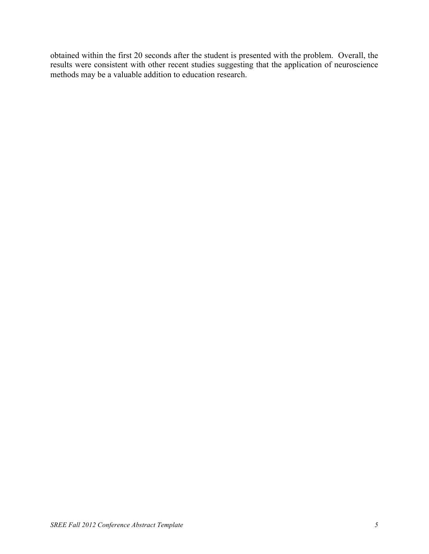obtained within the first 20 seconds after the student is presented with the problem. Overall, the results were consistent with other recent studies suggesting that the application of neuroscience methods may be a valuable addition to education research.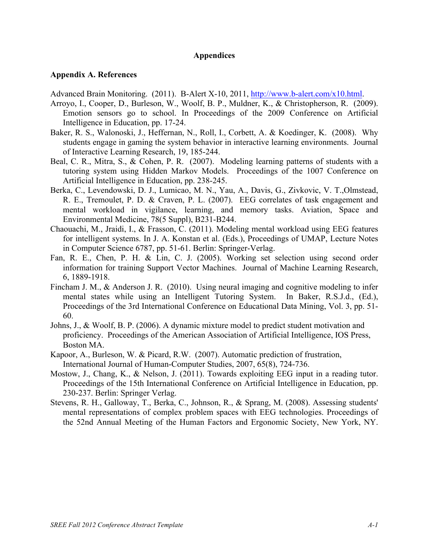#### **Appendices**

#### **Appendix A. References**

Advanced Brain Monitoring. (2011). B-Alert X-10, 2011, http://www.b-alert.com/x10.html.

- Arroyo, I., Cooper, D., Burleson, W., Woolf, B. P., Muldner, K., & Christopherson, R. (2009). Emotion sensors go to school. In Proceedings of the 2009 Conference on Artificial Intelligence in Education, pp. 17-24.
- Baker, R. S., Walonoski, J., Heffernan, N., Roll, I., Corbett, A. & Koedinger, K. (2008). Why students engage in gaming the system behavior in interactive learning environments. Journal of Interactive Learning Research, 19, 185-244.
- Beal, C. R., Mitra, S., & Cohen, P. R. (2007). Modeling learning patterns of students with a tutoring system using Hidden Markov Models. Proceedings of the 1007 Conference on Artificial Intelligence in Education, pp. 238-245.
- Berka, C., Levendowski, D. J., Lumicao, M. N., Yau, A., Davis, G., Zivkovic, V. T.,Olmstead, R. E., Tremoulet, P. D. & Craven, P. L. (2007). EEG correlates of task engagement and mental workload in vigilance, learning, and memory tasks. Aviation, Space and Environmental Medicine, 78(5 Suppl), B231-B244.
- Chaouachi, M., Jraidi, I., & Frasson, C. (2011). Modeling mental workload using EEG features for intelligent systems. In J. A. Konstan et al. (Eds.), Proceedings of UMAP, Lecture Notes in Computer Science 6787, pp. 51-61. Berlin: Springer-Verlag.
- Fan, R. E., Chen, P. H. & Lin, C. J. (2005). Working set selection using second order information for training Support Vector Machines. Journal of Machine Learning Research, 6, 1889-1918.
- Fincham J. M., & Anderson J. R. (2010). Using neural imaging and cognitive modeling to infer mental states while using an Intelligent Tutoring System. In Baker, R.S.J.d., (Ed.), Proceedings of the 3rd International Conference on Educational Data Mining, Vol. 3, pp. 51- 60.
- Johns, J., & Woolf, B. P. (2006). A dynamic mixture model to predict student motivation and proficiency. Proceedings of the American Association of Artificial Intelligence, IOS Press, Boston MA.
- Kapoor, A., Burleson, W. & Picard, R.W. (2007). Automatic prediction of frustration, International Journal of Human-Computer Studies, 2007, 65(8), 724-736.
- Mostow, J., Chang, K., & Nelson, J. (2011). Towards exploiting EEG input in a reading tutor. Proceedings of the 15th International Conference on Artificial Intelligence in Education, pp. 230-237. Berlin: Springer Verlag.
- Stevens, R. H., Galloway, T., Berka, C., Johnson, R., & Sprang, M. (2008). Assessing students' mental representations of complex problem spaces with EEG technologies. Proceedings of the 52nd Annual Meeting of the Human Factors and Ergonomic Society, New York, NY.